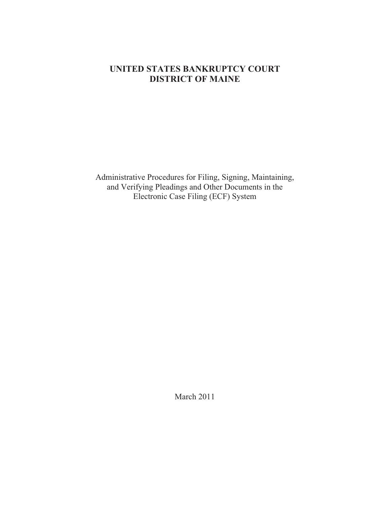# **UNITED STATES BANKRUPTCY COURT DISTRICT OF MAINE**

Administrative Procedures for Filing, Signing, Maintaining, and Verifying Pleadings and Other Documents in the Electronic Case Filing (ECF) System

March 2011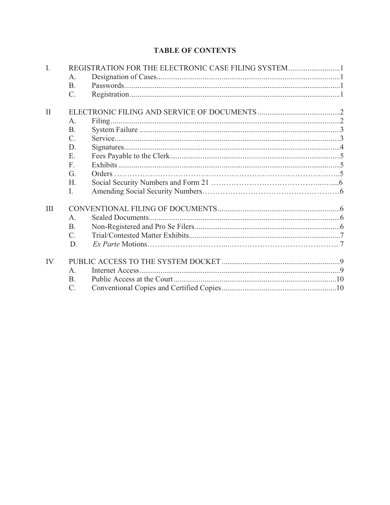# **TABLE OF CONTENTS**

| $\mathbf{I}$ . | REGISTRATION FOR THE ELECTRONIC CASE FILING SYSTEM1 |  |  |  |  |  |
|----------------|-----------------------------------------------------|--|--|--|--|--|
|                | A.                                                  |  |  |  |  |  |
|                | <b>B.</b>                                           |  |  |  |  |  |
|                | $\mathcal{C}$ .                                     |  |  |  |  |  |
| $\mathbf{I}$   |                                                     |  |  |  |  |  |
|                | A.                                                  |  |  |  |  |  |
|                | <b>B.</b>                                           |  |  |  |  |  |
|                | $\mathcal{C}$ .                                     |  |  |  |  |  |
|                | D.                                                  |  |  |  |  |  |
|                | E.                                                  |  |  |  |  |  |
|                | F.                                                  |  |  |  |  |  |
|                | G.                                                  |  |  |  |  |  |
|                | H.                                                  |  |  |  |  |  |
|                | Ι.                                                  |  |  |  |  |  |
| Ш              |                                                     |  |  |  |  |  |
|                | A <sub>1</sub>                                      |  |  |  |  |  |
|                | <b>B.</b>                                           |  |  |  |  |  |
|                | C.                                                  |  |  |  |  |  |
|                | D.                                                  |  |  |  |  |  |
| IV             |                                                     |  |  |  |  |  |
|                | $A_{.}$                                             |  |  |  |  |  |
|                | <b>B.</b>                                           |  |  |  |  |  |
|                | $\mathcal{C}$ .                                     |  |  |  |  |  |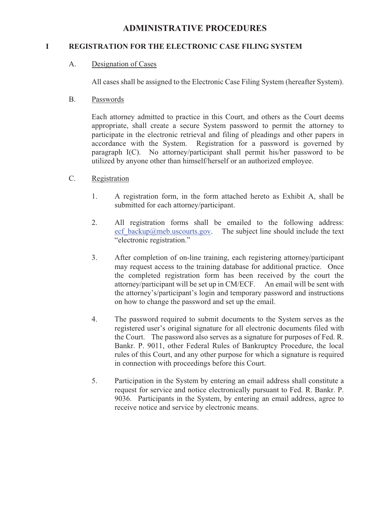# **ADMINISTRATIVE PROCEDURES**

## **I REGISTRATION FOR THE ELECTRONIC CASE FILING SYSTEM**

A. Designation of Cases

All cases shall be assigned to the Electronic Case Filing System (hereafter System).

B. Passwords

Each attorney admitted to practice in this Court, and others as the Court deems appropriate, shall create a secure System password to permit the attorney to participate in the electronic retrieval and filing of pleadings and other papers in accordance with the System. Registration for a password is governed by paragraph I(C). No attorney/participant shall permit his/her password to be utilized by anyone other than himself/herself or an authorized employee.

- C. Registration
	- 1. A registration form, in the form attached hereto as Exhibit A, shall be submitted for each attorney/participant.
	- 2. All registration forms shall be emailed to the following address: ecf backup@meb.uscourts.gov. The subject line should include the text "electronic registration."
	- 3. After completion of on-line training, each registering attorney/participant may request access to the training database for additional practice. Once the completed registration form has been received by the court the attorney/participant will be set up in CM/ECF. An email will be sent with the attorney's/participant's login and temporary password and instructions on how to change the password and set up the email.
	- 4. The password required to submit documents to the System serves as the registered user's original signature for all electronic documents filed with the Court. The password also serves as a signature for purposes of Fed. R. Bankr. P. 9011, other Federal Rules of Bankruptcy Procedure, the local rules of this Court, and any other purpose for which a signature is required in connection with proceedings before this Court.
	- 5. Participation in the System by entering an email address shall constitute a request for service and notice electronically pursuant to Fed. R. Bankr. P. 9036. Participants in the System, by entering an email address, agree to receive notice and service by electronic means.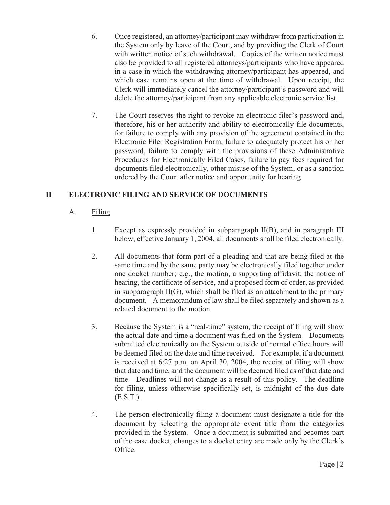- 6. Once registered, an attorney/participant may withdraw from participation in the System only by leave of the Court, and by providing the Clerk of Court with written notice of such withdrawal. Copies of the written notice must also be provided to all registered attorneys/participants who have appeared in a case in which the withdrawing attorney/participant has appeared, and which case remains open at the time of withdrawal. Upon receipt, the Clerk will immediately cancel the attorney/participant's password and will delete the attorney/participant from any applicable electronic service list.
- 7. The Court reserves the right to revoke an electronic filer's password and, therefore, his or her authority and ability to electronically file documents, for failure to comply with any provision of the agreement contained in the Electronic Filer Registration Form, failure to adequately protect his or her password, failure to comply with the provisions of these Administrative Procedures for Electronically Filed Cases, failure to pay fees required for documents filed electronically, other misuse of the System, or as a sanction ordered by the Court after notice and opportunity for hearing.

# **II ELECTRONIC FILING AND SERVICE OF DOCUMENTS**

- A. Filing
	- 1. Except as expressly provided in subparagraph II(B), and in paragraph III below, effective January 1, 2004, all documents shall be filed electronically.
	- 2. All documents that form part of a pleading and that are being filed at the same time and by the same party may be electronically filed together under one docket number; e.g., the motion, a supporting affidavit, the notice of hearing, the certificate of service, and a proposed form of order, as provided in subparagraph II(G), which shall be filed as an attachment to the primary document. A memorandum of law shall be filed separately and shown as a related document to the motion.
	- 3. Because the System is a "real-time" system, the receipt of filing will show the actual date and time a document was filed on the System. Documents submitted electronically on the System outside of normal office hours will be deemed filed on the date and time received. For example, if a document is received at 6:27 p.m. on April 30, 2004, the receipt of filing will show that date and time, and the document will be deemed filed as of that date and time. Deadlines will not change as a result of this policy. The deadline for filing, unless otherwise specifically set, is midnight of the due date (E.S.T.).
	- 4. The person electronically filing a document must designate a title for the document by selecting the appropriate event title from the categories provided in the System. Once a document is submitted and becomes part of the case docket, changes to a docket entry are made only by the Clerk's Office.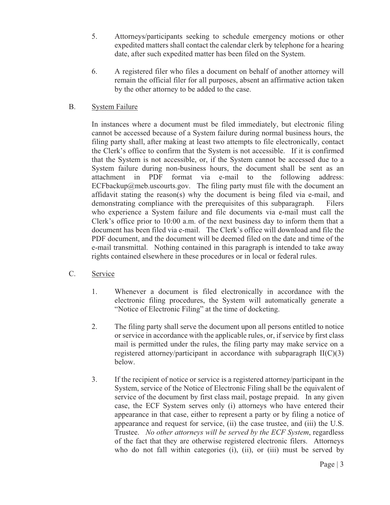- 5. Attorneys/participants seeking to schedule emergency motions or other expedited matters shall contact the calendar clerk by telephone for a hearing date, after such expedited matter has been filed on the System.
- 6. A registered filer who files a document on behalf of another attorney will remain the official filer for all purposes, absent an affirmative action taken by the other attorney to be added to the case.

# B. System Failure

In instances where a document must be filed immediately, but electronic filing cannot be accessed because of a System failure during normal business hours, the filing party shall, after making at least two attempts to file electronically, contact the Clerk's office to confirm that the System is not accessible. If it is confirmed that the System is not accessible, or, if the System cannot be accessed due to a System failure during non-business hours, the document shall be sent as an attachment in PDF format via e-mail to the following address: ECFbackup@meb.uscourts.gov. The filing party must file with the document an affidavit stating the reason(s) why the document is being filed via e-mail, and demonstrating compliance with the prerequisites of this subparagraph. Filers who experience a System failure and file documents via e-mail must call the Clerk's office prior to 10:00 a.m. of the next business day to inform them that a document has been filed via e-mail. The Clerk's office will download and file the PDF document, and the document will be deemed filed on the date and time of the e-mail transmittal. Nothing contained in this paragraph is intended to take away rights contained elsewhere in these procedures or in local or federal rules.

# C. Service

- 1. Whenever a document is filed electronically in accordance with the electronic filing procedures, the System will automatically generate a "Notice of Electronic Filing" at the time of docketing.
- 2. The filing party shall serve the document upon all persons entitled to notice or service in accordance with the applicable rules, or, if service by first class mail is permitted under the rules, the filing party may make service on a registered attorney/participant in accordance with subparagraph  $II(C)(3)$ below.
- 3. If the recipient of notice or service is a registered attorney/participant in the System, service of the Notice of Electronic Filing shall be the equivalent of service of the document by first class mail, postage prepaid. In any given case, the ECF System serves only (i) attorneys who have entered their appearance in that case, either to represent a party or by filing a notice of appearance and request for service, (ii) the case trustee, and (iii) the U.S. Trustee. *No other attorneys will be served by the ECF System*, regardless of the fact that they are otherwise registered electronic filers. Attorneys who do not fall within categories (i), (ii), or (iii) must be served by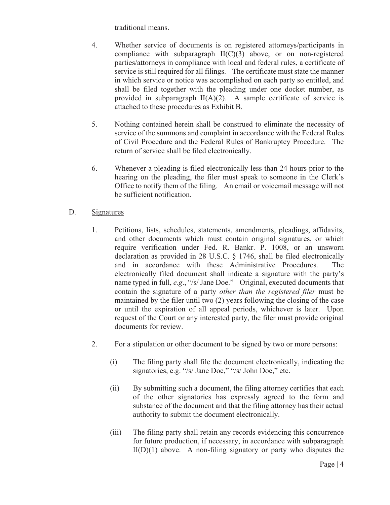traditional means.

- 4. Whether service of documents is on registered attorneys/participants in compliance with subparagraph II(C)(3) above, or on non-registered parties/attorneys in compliance with local and federal rules, a certificate of service is still required for all filings. The certificate must state the manner in which service or notice was accomplished on each party so entitled, and shall be filed together with the pleading under one docket number, as provided in subparagraph  $II(A)(2)$ . A sample certificate of service is attached to these procedures as Exhibit B.
- 5. Nothing contained herein shall be construed to eliminate the necessity of service of the summons and complaint in accordance with the Federal Rules of Civil Procedure and the Federal Rules of Bankruptcy Procedure. The return of service shall be filed electronically.
- 6. Whenever a pleading is filed electronically less than 24 hours prior to the hearing on the pleading, the filer must speak to someone in the Clerk's Office to notify them of the filing. An email or voicemail message will not be sufficient notification.
- D. Signatures
	- 1. Petitions, lists, schedules, statements, amendments, pleadings, affidavits, and other documents which must contain original signatures, or which require verification under Fed. R. Bankr. P. 1008, or an unsworn declaration as provided in 28 U.S.C. § 1746, shall be filed electronically and in accordance with these Administrative Procedures. The electronically filed document shall indicate a signature with the party's name typed in full, *e.g*., "/s/ Jane Doe." Original, executed documents that contain the signature of a party *other than the registered filer* must be maintained by the filer until two (2) years following the closing of the case or until the expiration of all appeal periods, whichever is later. Upon request of the Court or any interested party, the filer must provide original documents for review.
	- 2. For a stipulation or other document to be signed by two or more persons:
		- (i) The filing party shall file the document electronically, indicating the signatories, e.g. "/s/ Jane Doe," "/s/ John Doe," etc.
		- (ii) By submitting such a document, the filing attorney certifies that each of the other signatories has expressly agreed to the form and substance of the document and that the filing attorney has their actual authority to submit the document electronically.
		- (iii) The filing party shall retain any records evidencing this concurrence for future production, if necessary, in accordance with subparagraph  $II(D)(1)$  above. A non-filing signatory or party who disputes the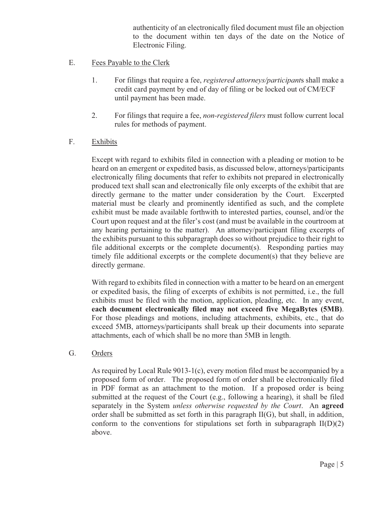authenticity of an electronically filed document must file an objection to the document within ten days of the date on the Notice of Electronic Filing.

- E. Fees Payable to the Clerk
	- 1. For filings that require a fee, *registered attorneys/participant*s shall make a credit card payment by end of day of filing or be locked out of CM/ECF until payment has been made.
	- 2. For filings that require a fee, *non-registered filers* must follow current local rules for methods of payment.
- F. Exhibits

Except with regard to exhibits filed in connection with a pleading or motion to be heard on an emergent or expedited basis, as discussed below, attorneys/participants electronically filing documents that refer to exhibits not prepared in electronically produced text shall scan and electronically file only excerpts of the exhibit that are directly germane to the matter under consideration by the Court. Excerpted material must be clearly and prominently identified as such, and the complete exhibit must be made available forthwith to interested parties, counsel, and/or the Court upon request and at the filer's cost (and must be available in the courtroom at any hearing pertaining to the matter). An attorney/participant filing excerpts of the exhibits pursuant to this subparagraph does so without prejudice to their right to file additional excerpts or the complete document(s). Responding parties may timely file additional excerpts or the complete document(s) that they believe are directly germane.

With regard to exhibits filed in connection with a matter to be heard on an emergent or expedited basis, the filing of excerpts of exhibits is not permitted, i.e., the full exhibits must be filed with the motion, application, pleading, etc. In any event, **each document electronically filed may not exceed five MegaBytes (5MB)**. For those pleadings and motions, including attachments, exhibits, etc., that do exceed 5MB, attorneys/participants shall break up their documents into separate attachments, each of which shall be no more than 5MB in length.

G. Orders

As required by Local Rule 9013-1(c), every motion filed must be accompanied by a proposed form of order. The proposed form of order shall be electronically filed in PDF format as an attachment to the motion. If a proposed order is being submitted at the request of the Court (e.g., following a hearing), it shall be filed separately in the System *unless otherwise requested by the Court*. An **agreed** order shall be submitted as set forth in this paragraph II(G), but shall, in addition, conform to the conventions for stipulations set forth in subparagraph  $II(D)(2)$ above.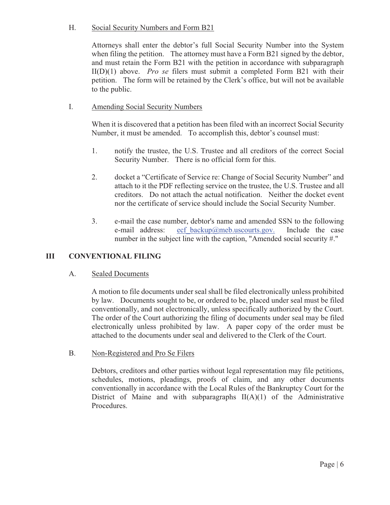## H. Social Security Numbers and Form B21

Attorneys shall enter the debtor's full Social Security Number into the System when filing the petition. The attorney must have a Form B21 signed by the debtor, and must retain the Form B21 with the petition in accordance with subparagraph II(D)(1) above. *Pro se* filers must submit a completed Form B21 with their petition. The form will be retained by the Clerk's office, but will not be available to the public.

## I. Amending Social Security Numbers

When it is discovered that a petition has been filed with an incorrect Social Security Number, it must be amended. To accomplish this, debtor's counsel must:

- 1. notify the trustee, the U.S. Trustee and all creditors of the correct Social Security Number. There is no official form for this.
- 2. docket a "Certificate of Service re: Change of Social Security Number" and attach to it the PDF reflecting service on the trustee, the U.S. Trustee and all creditors. Do not attach the actual notification. Neither the docket event nor the certificate of service should include the Social Security Number.
- 3. e-mail the case number, debtor's name and amended SSN to the following e-mail address: ecf backup@meb.uscourts.gov. Include the case number in the subject line with the caption, "Amended social security #."

## **III CONVENTIONAL FILING**

#### A. Sealed Documents

A motion to file documents under seal shall be filed electronically unless prohibited by law. Documents sought to be, or ordered to be, placed under seal must be filed conventionally, and not electronically, unless specifically authorized by the Court. The order of the Court authorizing the filing of documents under seal may be filed electronically unless prohibited by law. A paper copy of the order must be attached to the documents under seal and delivered to the Clerk of the Court.

#### B. Non-Registered and Pro Se Filers

Debtors, creditors and other parties without legal representation may file petitions, schedules, motions, pleadings, proofs of claim, and any other documents conventionally in accordance with the Local Rules of the Bankruptcy Court for the District of Maine and with subparagraphs  $II(A)(1)$  of the Administrative Procedures.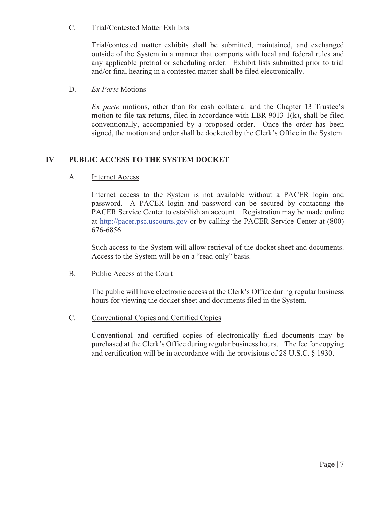# C. Trial/Contested Matter Exhibits

Trial/contested matter exhibits shall be submitted, maintained, and exchanged outside of the System in a manner that comports with local and federal rules and any applicable pretrial or scheduling order. Exhibit lists submitted prior to trial and/or final hearing in a contested matter shall be filed electronically.

#### D. *Ex Parte* Motions

*Ex parte* motions, other than for cash collateral and the Chapter 13 Trustee's motion to file tax returns, filed in accordance with LBR 9013-1(k), shall be filed conventionally, accompanied by a proposed order. Once the order has been signed, the motion and order shall be docketed by the Clerk's Office in the System.

# **IV PUBLIC ACCESS TO THE SYSTEM DOCKET**

## A. Internet Access

Internet access to the System is not available without a PACER login and password. A PACER login and password can be secured by contacting the PACER Service Center to establish an account. Registration may be made online at http://pacer.psc.uscourts.gov or by calling the PACER Service Center at (800) 676-6856.

Such access to the System will allow retrieval of the docket sheet and documents. Access to the System will be on a "read only" basis.

#### B. Public Access at the Court

The public will have electronic access at the Clerk's Office during regular business hours for viewing the docket sheet and documents filed in the System.

# C. Conventional Copies and Certified Copies

Conventional and certified copies of electronically filed documents may be purchased at the Clerk's Office during regular business hours. The fee for copying and certification will be in accordance with the provisions of 28 U.S.C. § 1930.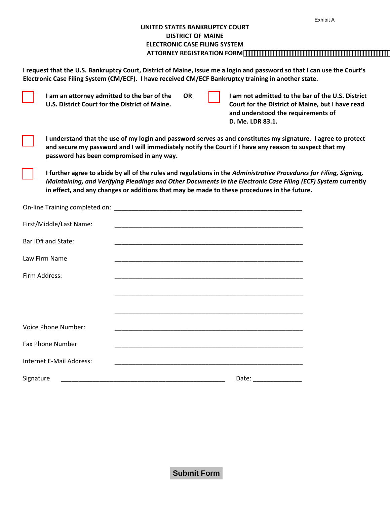|                                                                                                                          | Exhibit A |
|--------------------------------------------------------------------------------------------------------------------------|-----------|
| UNITED STATES BANKRUPTCY COURT                                                                                           |           |
| <b>DISTRICT OF MAINE</b>                                                                                                 |           |
| ELECTRONIC CASE FILING SYSTEM                                                                                            |           |
| <b>ATTORNEY REGISTRATION FORM</b>                                                                                        |           |
|                                                                                                                          |           |
| I request that the U.S. Bankruptcy Court, District of Maine, issue me a login and password so that I can use the Court's |           |

**Electronic Case Filing System (CM/ECF). I have received CM/ECF Bankruptcy training in another state.**

|               | I am an attorney admitted to the bar of the<br>U.S. District Court for the District of Maine.                                                                                                                                                                        |  | <b>OR</b> |  | I am not admitted to the bar of the U.S. District<br>Court for the District of Maine, but I have read<br>and understood the requirements of<br>D. Me. LDR 83.1.                                                                                                                                                                    |  |  |
|---------------|----------------------------------------------------------------------------------------------------------------------------------------------------------------------------------------------------------------------------------------------------------------------|--|-----------|--|------------------------------------------------------------------------------------------------------------------------------------------------------------------------------------------------------------------------------------------------------------------------------------------------------------------------------------|--|--|
|               | I understand that the use of my login and password serves as and constitutes my signature. I agree to protect<br>and secure my password and I will immediately notify the Court if I have any reason to suspect that my<br>password has been compromised in any way. |  |           |  |                                                                                                                                                                                                                                                                                                                                    |  |  |
|               |                                                                                                                                                                                                                                                                      |  |           |  | I further agree to abide by all of the rules and regulations in the Administrative Procedures for Filing, Signing,<br>Maintaining, and Verifying Pleadings and Other Documents in the Electronic Case Filing (ECF) System currently<br>in effect, and any changes or additions that may be made to these procedures in the future. |  |  |
|               |                                                                                                                                                                                                                                                                      |  |           |  |                                                                                                                                                                                                                                                                                                                                    |  |  |
|               | First/Middle/Last Name:                                                                                                                                                                                                                                              |  |           |  | <u> 1989 - Johann John Stoff, deutscher Stoffen und der Stoffen und der Stoffen und der Stoffen und der Stoffen</u>                                                                                                                                                                                                                |  |  |
|               | Bar ID# and State:                                                                                                                                                                                                                                                   |  |           |  |                                                                                                                                                                                                                                                                                                                                    |  |  |
|               | Law Firm Name                                                                                                                                                                                                                                                        |  |           |  |                                                                                                                                                                                                                                                                                                                                    |  |  |
| Firm Address: |                                                                                                                                                                                                                                                                      |  |           |  |                                                                                                                                                                                                                                                                                                                                    |  |  |
|               |                                                                                                                                                                                                                                                                      |  |           |  |                                                                                                                                                                                                                                                                                                                                    |  |  |
|               |                                                                                                                                                                                                                                                                      |  |           |  |                                                                                                                                                                                                                                                                                                                                    |  |  |
|               | <b>Voice Phone Number:</b>                                                                                                                                                                                                                                           |  |           |  |                                                                                                                                                                                                                                                                                                                                    |  |  |
|               | Fax Phone Number                                                                                                                                                                                                                                                     |  |           |  |                                                                                                                                                                                                                                                                                                                                    |  |  |
|               | Internet E-Mail Address:                                                                                                                                                                                                                                             |  |           |  |                                                                                                                                                                                                                                                                                                                                    |  |  |
| Signature     |                                                                                                                                                                                                                                                                      |  |           |  | Date:                                                                                                                                                                                                                                                                                                                              |  |  |

**Submit Form**